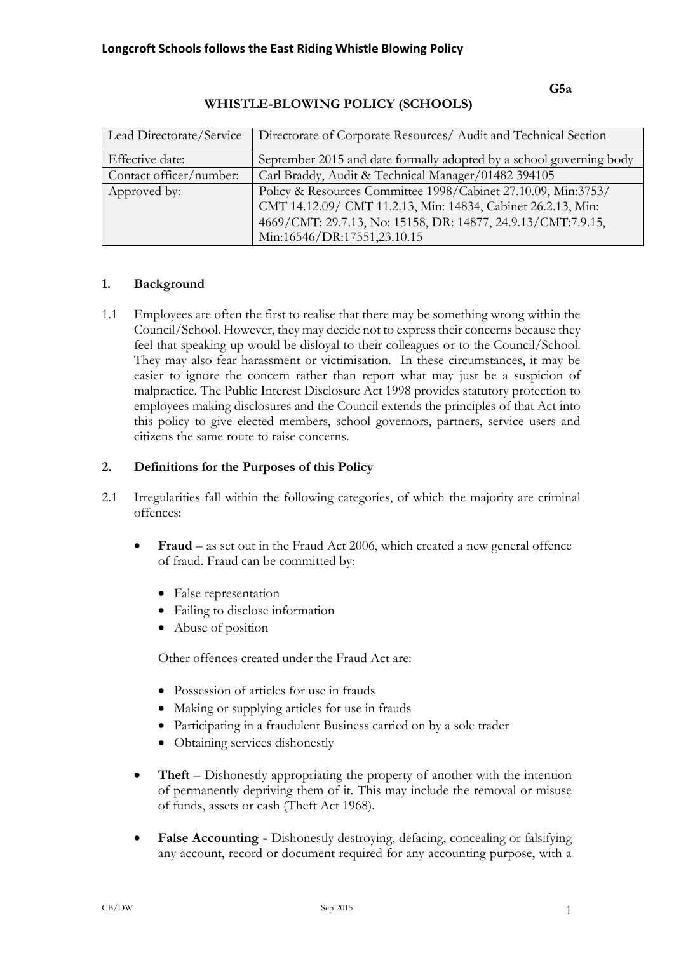#### **G5a**

| Lead Directorate/Service | Directorate of Corporate Resources/ Audit and Technical Section     |
|--------------------------|---------------------------------------------------------------------|
| Effective date:          | September 2015 and date formally adopted by a school governing body |
| Contact officer/number:  | Carl Braddy, Audit & Technical Manager/01482 394105                 |
| Approved by:             | Policy & Resources Committee 1998/Cabinet 27.10.09, Min:3753/       |
|                          | CMT 14.12.09/ CMT 11.2.13, Min: 14834, Cabinet 26.2.13, Min:        |
|                          | 4669/CMT: 29.7.13, No: 15158, DR: 14877, 24.9.13/CMT:7.9.15,        |
|                          | Min:16546/DR:17551,23.10.15                                         |

# **WHISTLE-BLOWING POLICY (SCHOOLS)**

# **1. Background**

1.1 Employees are often the first to realise that there may be something wrong within the Council/School. However, they may decide not to express their concerns because they feel that speaking up would be disloyal to their colleagues or to the Council/School. They may also fear harassment or victimisation. In these circumstances, it may be easier to ignore the concern rather than report what may just be a suspicion of malpractice. The Public Interest Disclosure Act 1998 provides statutory protection to employees making disclosures and the Council extends the principles of that Act into this policy to give elected members, school governors, partners, service users and citizens the same route to raise concerns.

# **2. Definitions for the Purposes of this Policy**

- 2.1 Irregularities fall within the following categories, of which the majority are criminal offences:
	- **Fraud** as set out in the Fraud Act 2006, which created a new general offence of fraud. Fraud can be committed by:
		- False representation
		- Failing to disclose information
		- Abuse of position

Other offences created under the Fraud Act are:

- Possession of articles for use in frauds
- Making or supplying articles for use in frauds
- Participating in a fraudulent Business carried on by a sole trader
- Obtaining services dishonestly
- **Theft** Dishonestly appropriating the property of another with the intention of permanently depriving them of it. This may include the removal or misuse of funds, assets or cash (Theft Act 1968).
- **False Accounting -** Dishonestly destroying, defacing, concealing or falsifying any account, record or document required for any accounting purpose, with a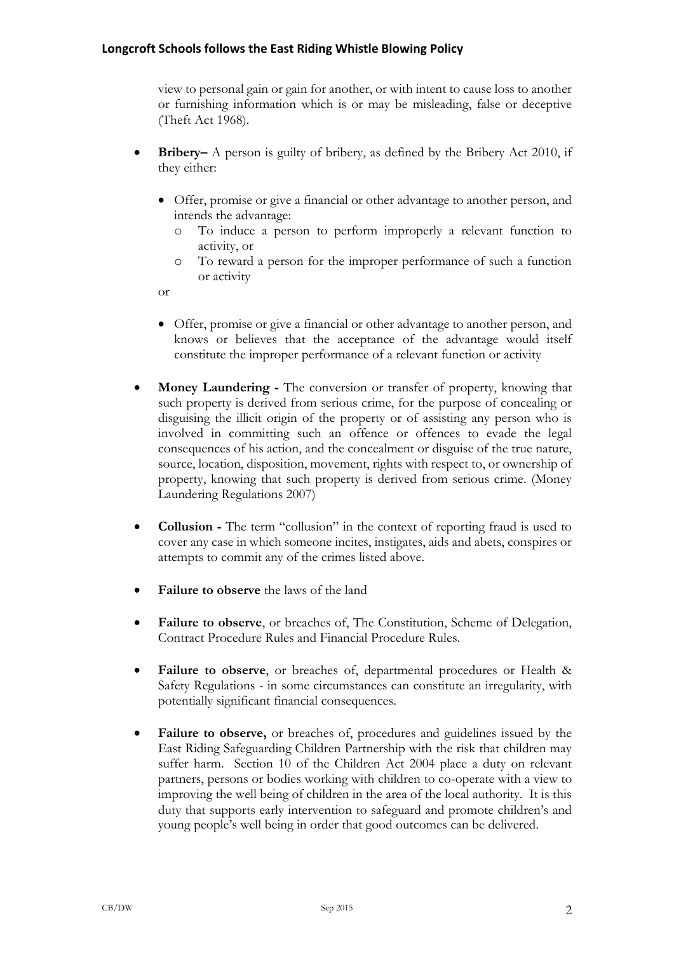view to personal gain or gain for another, or with intent to cause loss to another or furnishing information which is or may be misleading, false or deceptive (Theft Act 1968).

- **Bribery–** A person is guilty of bribery, as defined by the Bribery Act 2010, if they either:
	- Offer, promise or give a financial or other advantage to another person, and intends the advantage:
		- o To induce a person to perform improperly a relevant function to activity, or
		- o To reward a person for the improper performance of such a function or activity

or

- Offer, promise or give a financial or other advantage to another person, and knows or believes that the acceptance of the advantage would itself constitute the improper performance of a relevant function or activity
- **Money Laundering -** The conversion or transfer of property, knowing that such property is derived from serious crime, for the purpose of concealing or disguising the illicit origin of the property or of assisting any person who is involved in committing such an offence or offences to evade the legal consequences of his action, and the concealment or disguise of the true nature, source, location, disposition, movement, rights with respect to, or ownership of property, knowing that such property is derived from serious crime. (Money Laundering Regulations 2007)
- **Collusion -** The term "collusion" in the context of reporting fraud is used to cover any case in which someone incites, instigates, aids and abets, conspires or attempts to commit any of the crimes listed above.
- **Failure to observe** the laws of the land
- **Failure to observe**, or breaches of, The Constitution, Scheme of Delegation, Contract Procedure Rules and Financial Procedure Rules.
- **Failure to observe**, or breaches of, departmental procedures or Health & Safety Regulations - in some circumstances can constitute an irregularity, with potentially significant financial consequences.
- **Failure to observe,** or breaches of, procedures and guidelines issued by the East Riding Safeguarding Children Partnership with the risk that children may suffer harm. Section 10 of the Children Act 2004 place a duty on relevant partners, persons or bodies working with children to co-operate with a view to improving the well being of children in the area of the local authority. It is this duty that supports early intervention to safeguard and promote children's and young people's well being in order that good outcomes can be delivered.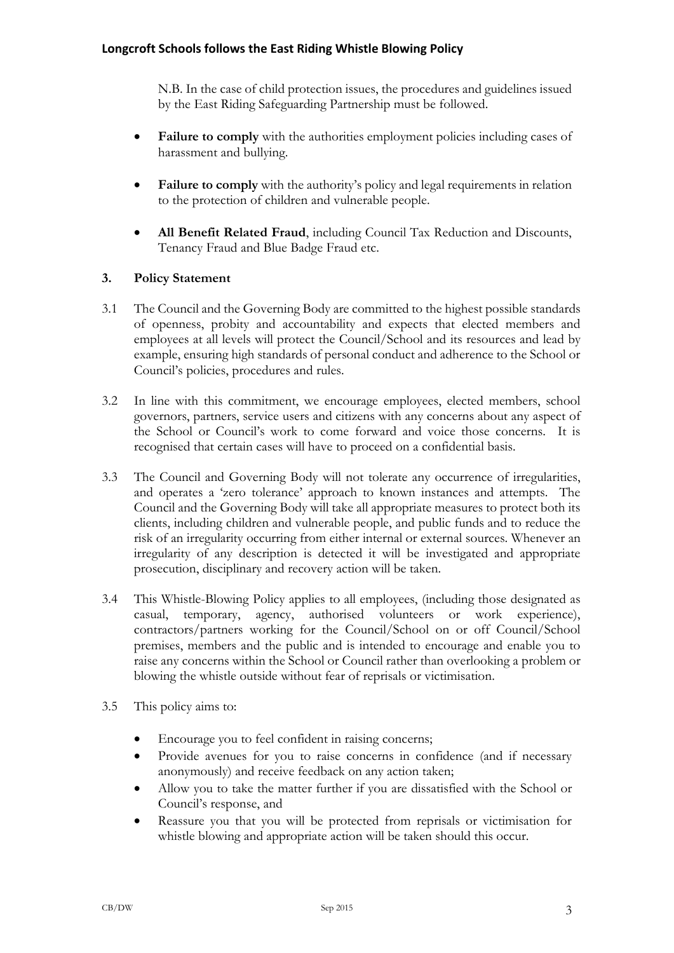N.B. In the case of child protection issues, the procedures and guidelines issued by the East Riding Safeguarding Partnership must be followed.

- **Failure to comply** with the authorities employment policies including cases of harassment and bullying.
- **Failure to comply** with the authority's policy and legal requirements in relation to the protection of children and vulnerable people.
- **All Benefit Related Fraud**, including Council Tax Reduction and Discounts, Tenancy Fraud and Blue Badge Fraud etc.

# **3. Policy Statement**

- 3.1 The Council and the Governing Body are committed to the highest possible standards of openness, probity and accountability and expects that elected members and employees at all levels will protect the Council/School and its resources and lead by example, ensuring high standards of personal conduct and adherence to the School or Council's policies, procedures and rules.
- 3.2 In line with this commitment, we encourage employees, elected members, school governors, partners, service users and citizens with any concerns about any aspect of the School or Council's work to come forward and voice those concerns. It is recognised that certain cases will have to proceed on a confidential basis.
- 3.3 The Council and Governing Body will not tolerate any occurrence of irregularities, and operates a 'zero tolerance' approach to known instances and attempts. The Council and the Governing Body will take all appropriate measures to protect both its clients, including children and vulnerable people, and public funds and to reduce the risk of an irregularity occurring from either internal or external sources. Whenever an irregularity of any description is detected it will be investigated and appropriate prosecution, disciplinary and recovery action will be taken.
- 3.4 This Whistle-Blowing Policy applies to all employees, (including those designated as casual, temporary, agency, authorised volunteers or work experience), contractors/partners working for the Council/School on or off Council/School premises, members and the public and is intended to encourage and enable you to raise any concerns within the School or Council rather than overlooking a problem or blowing the whistle outside without fear of reprisals or victimisation.
- 3.5 This policy aims to:
	- Encourage you to feel confident in raising concerns;
	- Provide avenues for you to raise concerns in confidence (and if necessary anonymously) and receive feedback on any action taken;
	- Allow you to take the matter further if you are dissatisfied with the School or Council's response, and
	- Reassure you that you will be protected from reprisals or victimisation for whistle blowing and appropriate action will be taken should this occur.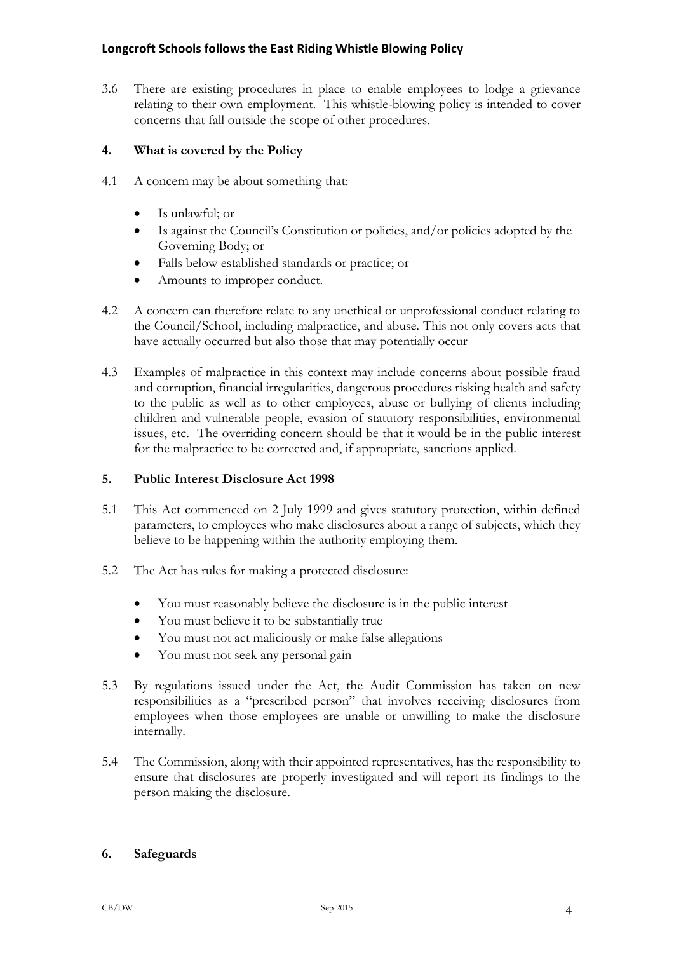3.6 There are existing procedures in place to enable employees to lodge a grievance relating to their own employment. This whistle-blowing policy is intended to cover concerns that fall outside the scope of other procedures.

# **4. What is covered by the Policy**

- 4.1 A concern may be about something that:
	- Is unlawful; or
	- Is against the Council's Constitution or policies, and/or policies adopted by the Governing Body; or
	- Falls below established standards or practice; or
	- Amounts to improper conduct.
- 4.2 A concern can therefore relate to any unethical or unprofessional conduct relating to the Council/School, including malpractice, and abuse. This not only covers acts that have actually occurred but also those that may potentially occur
- 4.3 Examples of malpractice in this context may include concerns about possible fraud and corruption, financial irregularities, dangerous procedures risking health and safety to the public as well as to other employees, abuse or bullying of clients including children and vulnerable people, evasion of statutory responsibilities, environmental issues, etc. The overriding concern should be that it would be in the public interest for the malpractice to be corrected and, if appropriate, sanctions applied.

## **5. Public Interest Disclosure Act 1998**

- 5.1 This Act commenced on 2 July 1999 and gives statutory protection, within defined parameters, to employees who make disclosures about a range of subjects, which they believe to be happening within the authority employing them.
- 5.2 The Act has rules for making a protected disclosure:
	- You must reasonably believe the disclosure is in the public interest
	- You must believe it to be substantially true
	- You must not act maliciously or make false allegations
	- You must not seek any personal gain
- 5.3 By regulations issued under the Act, the Audit Commission has taken on new responsibilities as a "prescribed person" that involves receiving disclosures from employees when those employees are unable or unwilling to make the disclosure internally.
- 5.4 The Commission, along with their appointed representatives, has the responsibility to ensure that disclosures are properly investigated and will report its findings to the person making the disclosure.

## **6. Safeguards**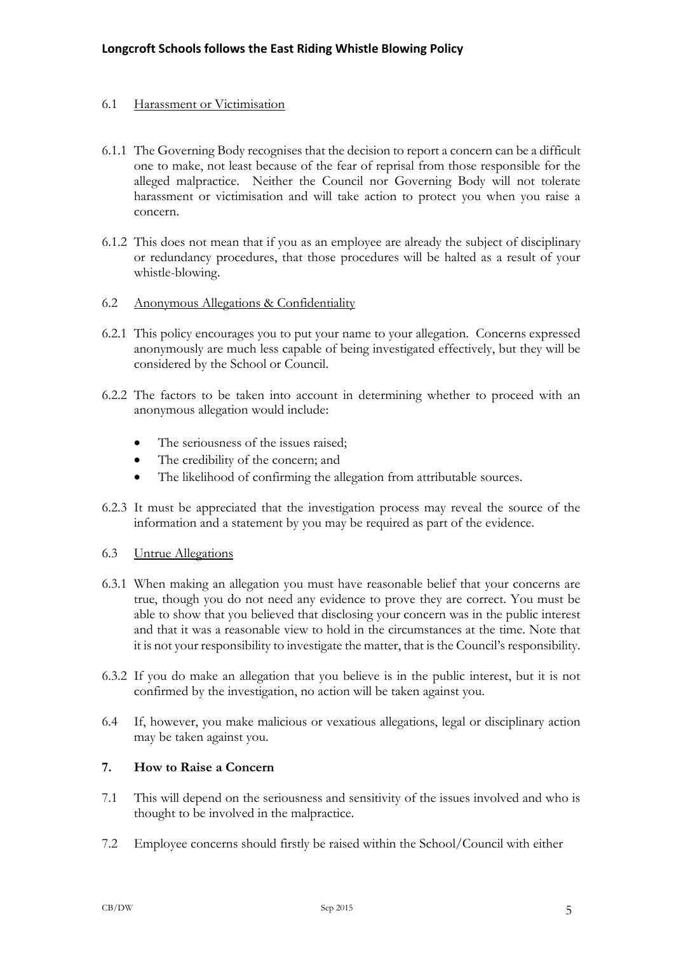## 6.1 Harassment or Victimisation

- 6.1.1 The Governing Body recognises that the decision to report a concern can be a difficult one to make, not least because of the fear of reprisal from those responsible for the alleged malpractice. Neither the Council nor Governing Body will not tolerate harassment or victimisation and will take action to protect you when you raise a concern.
- 6.1.2 This does not mean that if you as an employee are already the subject of disciplinary or redundancy procedures, that those procedures will be halted as a result of your whistle-blowing.
- 6.2 Anonymous Allegations & Confidentiality
- 6.2.1 This policy encourages you to put your name to your allegation. Concerns expressed anonymously are much less capable of being investigated effectively, but they will be considered by the School or Council.
- 6.2.2 The factors to be taken into account in determining whether to proceed with an anonymous allegation would include:
	- The seriousness of the issues raised:
	- The credibility of the concern; and
	- The likelihood of confirming the allegation from attributable sources.
- 6.2.3 It must be appreciated that the investigation process may reveal the source of the information and a statement by you may be required as part of the evidence.

## 6.3 Untrue Allegations

- 6.3.1 When making an allegation you must have reasonable belief that your concerns are true, though you do not need any evidence to prove they are correct. You must be able to show that you believed that disclosing your concern was in the public interest and that it was a reasonable view to hold in the circumstances at the time. Note that it is not your responsibility to investigate the matter, that is the Council's responsibility.
- 6.3.2 If you do make an allegation that you believe is in the public interest, but it is not confirmed by the investigation, no action will be taken against you.
- 6.4 If, however, you make malicious or vexatious allegations, legal or disciplinary action may be taken against you.

# **7. How to Raise a Concern**

- 7.1 This will depend on the seriousness and sensitivity of the issues involved and who is thought to be involved in the malpractice.
- 7.2 Employee concerns should firstly be raised within the School/Council with either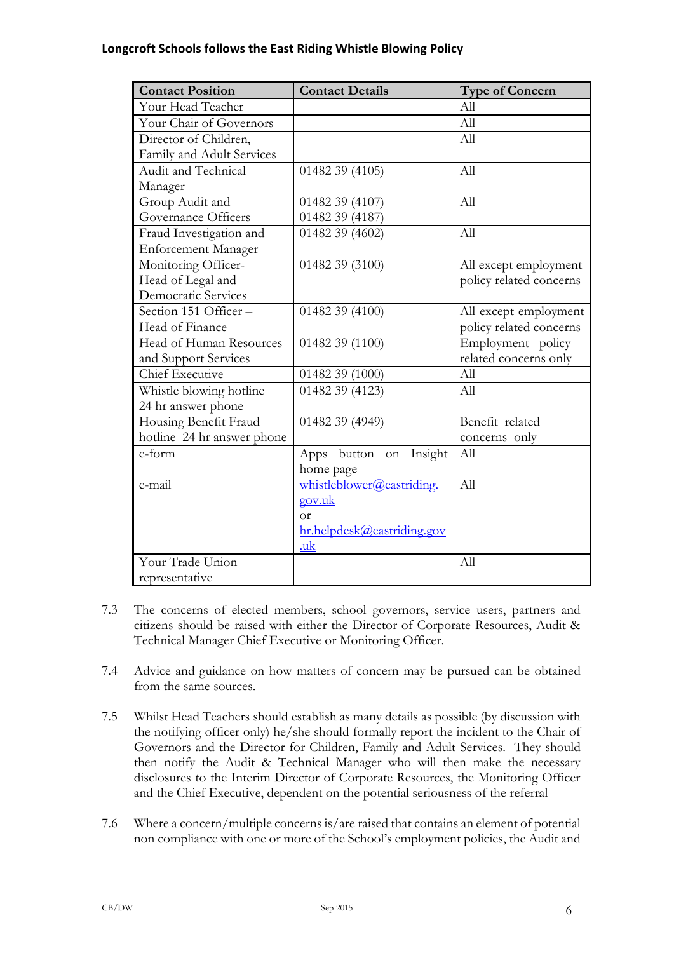| <b>Contact Position</b>    | <b>Contact Details</b>       | <b>Type of Concern</b>  |
|----------------------------|------------------------------|-------------------------|
| Your Head Teacher          |                              | All                     |
| Your Chair of Governors    |                              | All                     |
| Director of Children,      |                              | All                     |
| Family and Adult Services  |                              |                         |
| Audit and Technical        | 01482 39 (4105)              | All                     |
| Manager                    |                              |                         |
| Group Audit and            | 01482 39 (4107)              | All                     |
| Governance Officers        | 01482 39 (4187)              |                         |
| Fraud Investigation and    | 01482 39 (4602)              | All                     |
| <b>Enforcement Manager</b> |                              |                         |
| Monitoring Officer-        | 01482 39 (3100)              | All except employment   |
| Head of Legal and          |                              | policy related concerns |
| Democratic Services        |                              |                         |
| Section 151 Officer-       | 01482 39 (4100)              | All except employment   |
| Head of Finance            |                              | policy related concerns |
| Head of Human Resources    | 01482 39 (1100)              | Employment policy       |
| and Support Services       |                              | related concerns only   |
| Chief Executive            | 01482 39 (1000)              | All                     |
| Whistle blowing hotline    | 01482 39 (4123)              | All                     |
| 24 hr answer phone         |                              |                         |
| Housing Benefit Fraud      | 01482 39 (4949)              | Benefit related         |
| hotline 24 hr answer phone |                              | concerns only           |
| e-form                     | Insight<br>Apps button<br>on | All                     |
|                            | home page                    |                         |
| e-mail                     | whistleblower@eastriding.    | All                     |
|                            | gov.uk                       |                         |
|                            | $\alpha$ r                   |                         |
|                            | hr.helpdesk@eastriding.gov   |                         |
|                            | .uk                          |                         |
| Your Trade Union           |                              | All                     |
| representative             |                              |                         |

- 7.3 The concerns of elected members, school governors, service users, partners and citizens should be raised with either the Director of Corporate Resources, Audit & Technical Manager Chief Executive or Monitoring Officer.
- 7.4 Advice and guidance on how matters of concern may be pursued can be obtained from the same sources.
- 7.5 Whilst Head Teachers should establish as many details as possible (by discussion with the notifying officer only) he/she should formally report the incident to the Chair of Governors and the Director for Children, Family and Adult Services. They should then notify the Audit & Technical Manager who will then make the necessary disclosures to the Interim Director of Corporate Resources, the Monitoring Officer and the Chief Executive, dependent on the potential seriousness of the referral
- 7.6 Where a concern/multiple concerns is/are raised that contains an element of potential non compliance with one or more of the School's employment policies, the Audit and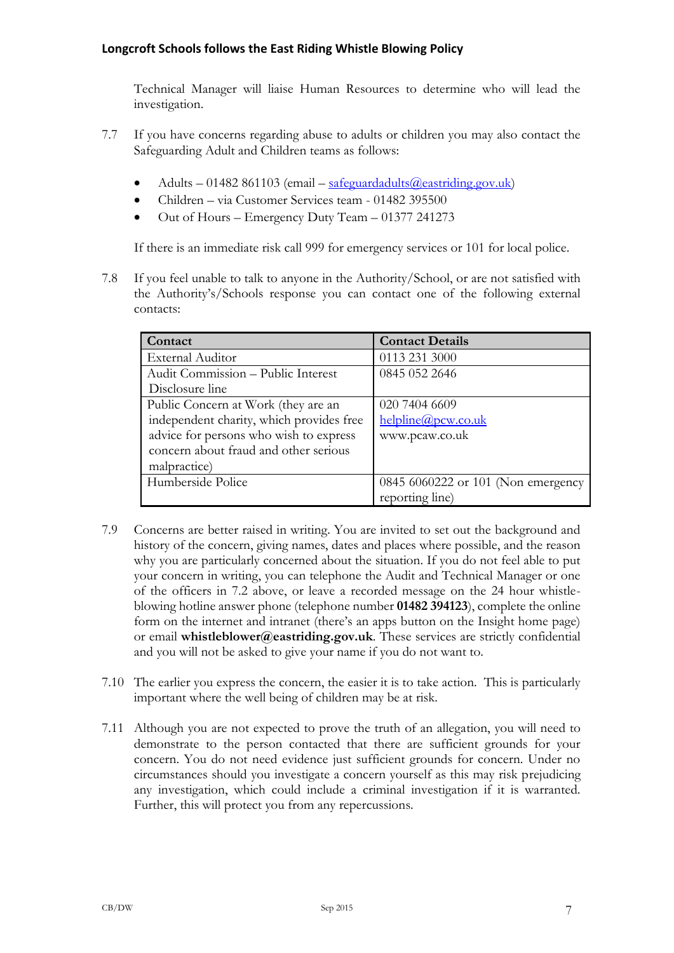Technical Manager will liaise Human Resources to determine who will lead the investigation.

- 7.7 If you have concerns regarding abuse to adults or children you may also contact the Safeguarding Adult and Children teams as follows:
	- Adults 01482 861103 (email safeguardadults @eastriding.gov.uk)
	- Children via Customer Services team 01482 395500
	- Out of Hours Emergency Duty Team 01377 241273

If there is an immediate risk call 999 for emergency services or 101 for local police.

7.8 If you feel unable to talk to anyone in the Authority/School, or are not satisfied with the Authority's/Schools response you can contact one of the following external contacts:

| Contact                                  | <b>Contact Details</b>             |  |
|------------------------------------------|------------------------------------|--|
| <b>External Auditor</b>                  | 0113 231 3000                      |  |
| Audit Commission - Public Interest       | 0845 052 2646                      |  |
| Disclosure line                          |                                    |  |
| Public Concern at Work (they are an      | 020 7404 6609                      |  |
| independent charity, which provides free | helpline@pcw.co.uk                 |  |
| advice for persons who wish to express   | www.pcaw.co.uk                     |  |
| concern about fraud and other serious    |                                    |  |
| malpractice)                             |                                    |  |
| Humberside Police                        | 0845 6060222 or 101 (Non emergency |  |
|                                          | reporting line)                    |  |

- 7.9 Concerns are better raised in writing. You are invited to set out the background and history of the concern, giving names, dates and places where possible, and the reason why you are particularly concerned about the situation. If you do not feel able to put your concern in writing, you can telephone the Audit and Technical Manager or one of the officers in 7.2 above, or leave a recorded message on the 24 hour whistleblowing hotline answer phone (telephone number **01482 394123**), complete the online form on the internet and intranet (there's an apps button on the Insight home page) or email **whistleblower@eastriding.gov.uk**. These services are strictly confidential and you will not be asked to give your name if you do not want to.
- 7.10 The earlier you express the concern, the easier it is to take action. This is particularly important where the well being of children may be at risk.
- 7.11 Although you are not expected to prove the truth of an allegation, you will need to demonstrate to the person contacted that there are sufficient grounds for your concern. You do not need evidence just sufficient grounds for concern. Under no circumstances should you investigate a concern yourself as this may risk prejudicing any investigation, which could include a criminal investigation if it is warranted. Further, this will protect you from any repercussions.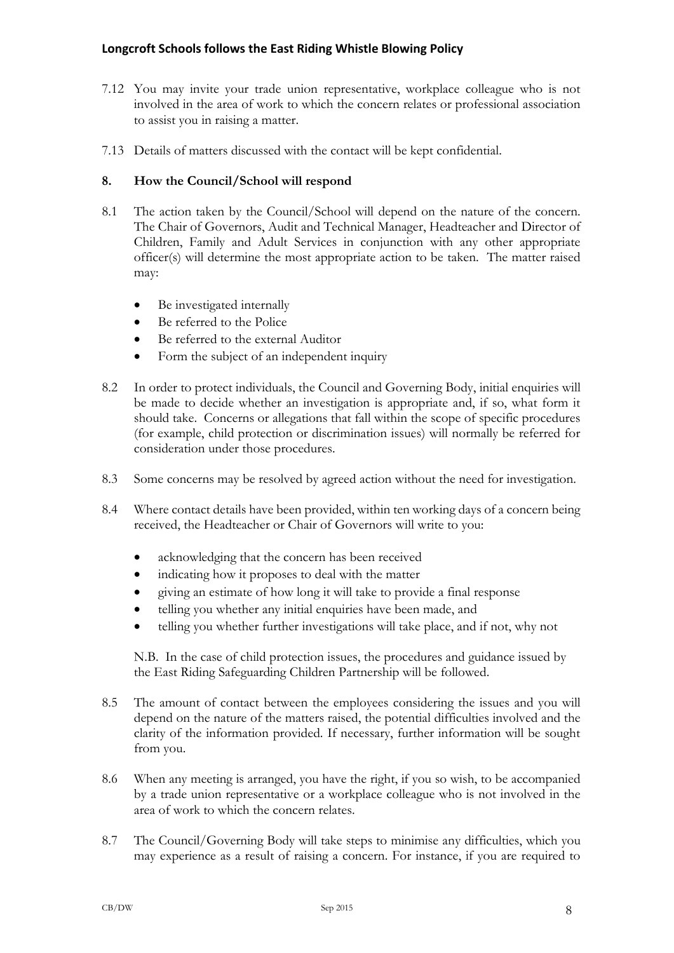- 7.12 You may invite your trade union representative, workplace colleague who is not involved in the area of work to which the concern relates or professional association to assist you in raising a matter.
- 7.13 Details of matters discussed with the contact will be kept confidential.

# **8. How the Council/School will respond**

- 8.1 The action taken by the Council/School will depend on the nature of the concern. The Chair of Governors, Audit and Technical Manager, Headteacher and Director of Children, Family and Adult Services in conjunction with any other appropriate officer(s) will determine the most appropriate action to be taken. The matter raised may:
	- Be investigated internally
	- Be referred to the Police
	- Be referred to the external Auditor
	- Form the subject of an independent inquiry
- 8.2 In order to protect individuals, the Council and Governing Body, initial enquiries will be made to decide whether an investigation is appropriate and, if so, what form it should take. Concerns or allegations that fall within the scope of specific procedures (for example, child protection or discrimination issues) will normally be referred for consideration under those procedures.
- 8.3 Some concerns may be resolved by agreed action without the need for investigation.
- 8.4 Where contact details have been provided, within ten working days of a concern being received, the Headteacher or Chair of Governors will write to you:
	- acknowledging that the concern has been received
	- indicating how it proposes to deal with the matter
	- giving an estimate of how long it will take to provide a final response
	- telling you whether any initial enquiries have been made, and
	- telling you whether further investigations will take place, and if not, why not

N.B. In the case of child protection issues, the procedures and guidance issued by the East Riding Safeguarding Children Partnership will be followed.

- 8.5 The amount of contact between the employees considering the issues and you will depend on the nature of the matters raised, the potential difficulties involved and the clarity of the information provided. If necessary, further information will be sought from you.
- 8.6 When any meeting is arranged, you have the right, if you so wish, to be accompanied by a trade union representative or a workplace colleague who is not involved in the area of work to which the concern relates.
- 8.7 The Council/Governing Body will take steps to minimise any difficulties, which you may experience as a result of raising a concern. For instance, if you are required to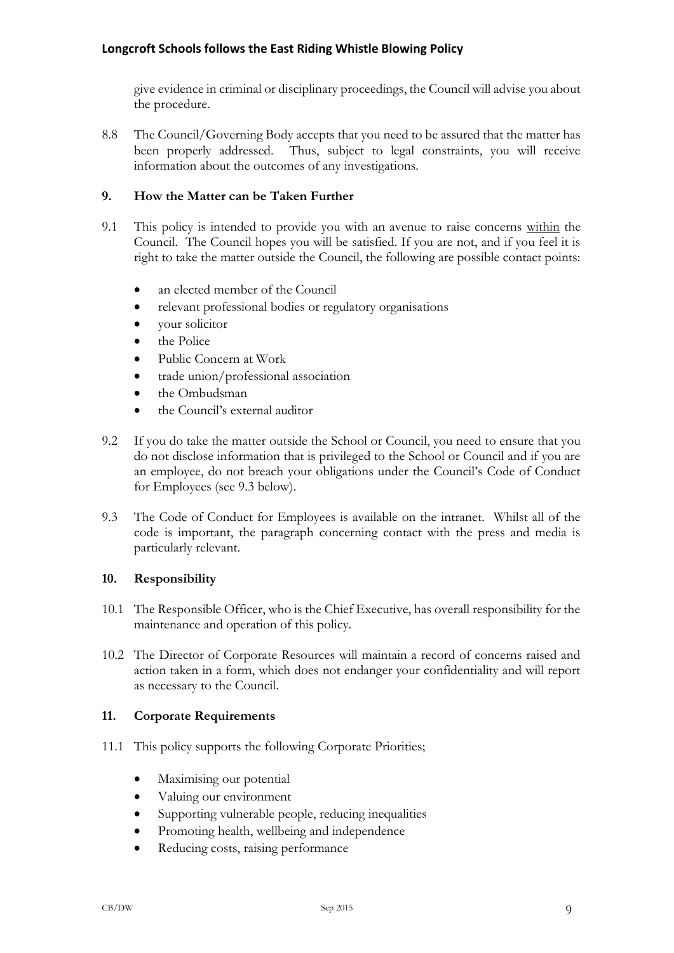give evidence in criminal or disciplinary proceedings, the Council will advise you about the procedure.

8.8 The Council/Governing Body accepts that you need to be assured that the matter has been properly addressed. Thus, subject to legal constraints, you will receive information about the outcomes of any investigations.

# **9. How the Matter can be Taken Further**

- 9.1 This policy is intended to provide you with an avenue to raise concerns within the Council. The Council hopes you will be satisfied. If you are not, and if you feel it is right to take the matter outside the Council, the following are possible contact points:
	- an elected member of the Council
	- relevant professional bodies or regulatory organisations
	- vour solicitor
	- the Police
	- Public Concern at Work
	- trade union/professional association
	- the Ombudsman
	- the Council's external auditor
- 9.2 If you do take the matter outside the School or Council, you need to ensure that you do not disclose information that is privileged to the School or Council and if you are an employee, do not breach your obligations under the Council's Code of Conduct for Employees (see 9.3 below).
- 9.3 The Code of Conduct for Employees is available on the intranet. Whilst all of the code is important, the paragraph concerning contact with the press and media is particularly relevant.

## **10. Responsibility**

- 10.1 The Responsible Officer, who is the Chief Executive, has overall responsibility for the maintenance and operation of this policy.
- 10.2 The Director of Corporate Resources will maintain a record of concerns raised and action taken in a form, which does not endanger your confidentiality and will report as necessary to the Council.

## **11. Corporate Requirements**

- 11.1 This policy supports the following Corporate Priorities;
	- Maximising our potential
	- Valuing our environment
	- Supporting vulnerable people, reducing inequalities
	- Promoting health, wellbeing and independence
	- Reducing costs, raising performance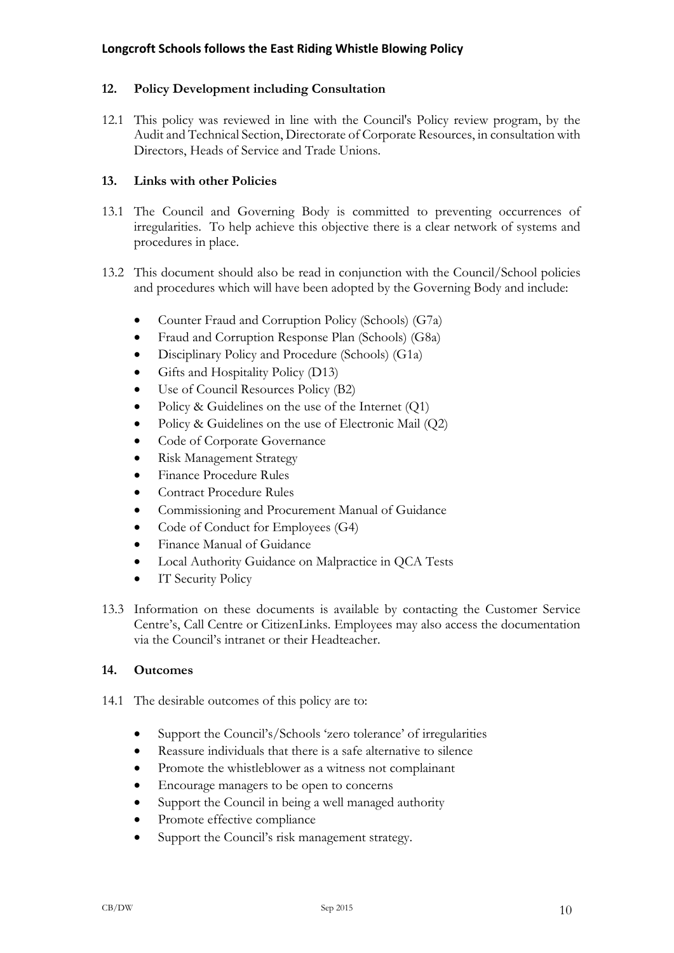# **12. Policy Development including Consultation**

12.1 This policy was reviewed in line with the Council's Policy review program, by the Audit and Technical Section, Directorate of Corporate Resources, in consultation with Directors, Heads of Service and Trade Unions.

# **13. Links with other Policies**

- 13.1 The Council and Governing Body is committed to preventing occurrences of irregularities. To help achieve this objective there is a clear network of systems and procedures in place.
- 13.2 This document should also be read in conjunction with the Council/School policies and procedures which will have been adopted by the Governing Body and include:
	- Counter Fraud and Corruption Policy (Schools) (G7a)
	- Fraud and Corruption Response Plan (Schools) (G8a)
	- Disciplinary Policy and Procedure (Schools) (G1a)
	- Gifts and Hospitality Policy (D13)
	- Use of Council Resources Policy (B2)
	- Policy & Guidelines on the use of the Internet  $(Q1)$
	- Policy & Guidelines on the use of Electronic Mail (Q2)
	- Code of Corporate Governance
	- Risk Management Strategy
	- Finance Procedure Rules
	- Contract Procedure Rules
	- Commissioning and Procurement Manual of Guidance
	- Code of Conduct for Employees (G4)
	- Finance Manual of Guidance
	- Local Authority Guidance on Malpractice in QCA Tests
	- IT Security Policy
- 13.3 Information on these documents is available by contacting the Customer Service Centre's, Call Centre or CitizenLinks. Employees may also access the documentation via the Council's intranet or their Headteacher.

## **14. Outcomes**

- 14.1 The desirable outcomes of this policy are to:
	- Support the Council's/Schools 'zero tolerance' of irregularities
	- Reassure individuals that there is a safe alternative to silence
	- Promote the whistleblower as a witness not complainant
	- Encourage managers to be open to concerns
	- Support the Council in being a well managed authority
	- Promote effective compliance
	- Support the Council's risk management strategy.